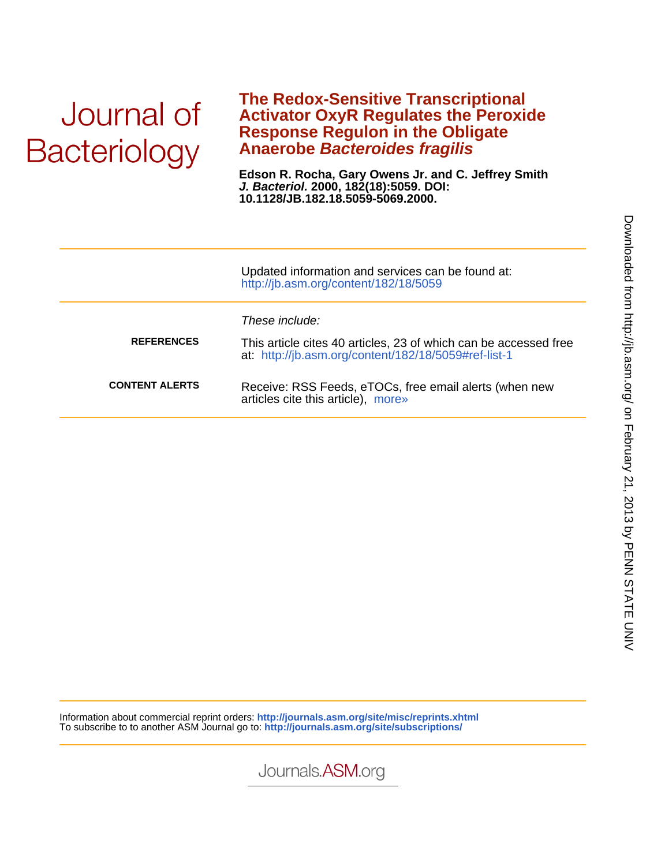# Journal of **Bacteriology**

### **Anaerobe Bacteroides fragilis Response Regulon in the Obligate Activator OxyR Regulates the Peroxide The Redox-Sensitive Transcriptional**

**10.1128/JB.182.18.5059-5069.2000. J. Bacteriol. 2000, 182(18):5059. DOI: Edson R. Rocha, Gary Owens Jr. and C. Jeffrey Smith**

|                       | Updated information and services can be found at:<br>http://jb.asm.org/content/182/18/5059                                                 |
|-----------------------|--------------------------------------------------------------------------------------------------------------------------------------------|
| <b>REFERENCES</b>     | These include:<br>This article cites 40 articles, 23 of which can be accessed free<br>at: http://jb.asm.org/content/182/18/5059#ref-list-1 |
| <b>CONTENT ALERTS</b> | Receive: RSS Feeds, eTOCs, free email alerts (when new<br>articles cite this article), more»                                               |

Information about commercial reprint orders: **http://journals.asm.org/site/misc/reprints.xhtml** To subscribe to to another ASM Journal go to: **http://journals.asm.org/site/subscriptions/**

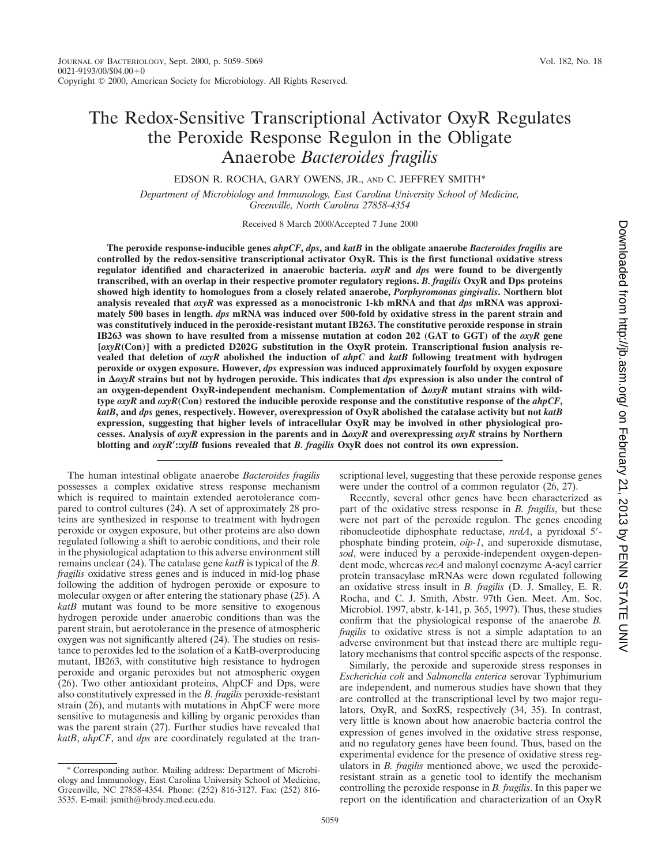## The Redox-Sensitive Transcriptional Activator OxyR Regulates the Peroxide Response Regulon in the Obligate Anaerobe *Bacteroides fragilis*

EDSON R. ROCHA, GARY OWENS, JR., AND C. JEFFREY SMITH\*

*Department of Microbiology and Immunology, East Carolina University School of Medicine, Greenville, North Carolina 27858-4354*

Received 8 March 2000/Accepted 7 June 2000

**The peroxide response-inducible genes** *ahpCF***,** *dps***, and** *katB* **in the obligate anaerobe** *Bacteroides fragilis* **are controlled by the redox-sensitive transcriptional activator OxyR. This is the first functional oxidative stress regulator identified and characterized in anaerobic bacteria.** *oxyR* **and** *dps* **were found to be divergently transcribed, with an overlap in their respective promoter regulatory regions.** *B. fragilis* **OxyR and Dps proteins showed high identity to homologues from a closely related anaerobe,** *Porphyromonas gingivalis***. Northern blot analysis revealed that** *oxyR* **was expressed as a monocistronic 1-kb mRNA and that** *dps* **mRNA was approximately 500 bases in length.** *dps* **mRNA was induced over 500-fold by oxidative stress in the parent strain and was constitutively induced in the peroxide-resistant mutant IB263. The constitutive peroxide response in strain IB263 was shown to have resulted from a missense mutation at codon 202 (GAT to GGT) of the** *oxyR* **gene [***oxyR***(Con)] with a predicted D202G substitution in the OxyR protein. Transcriptional fusion analysis revealed that deletion of** *oxyR* **abolished the induction of** *ahpC* **and** *katB* **following treatment with hydrogen peroxide or oxygen exposure. However,** *dps* **expression was induced approximately fourfold by oxygen exposure** in  $\Delta OXYR$  strains but not by hydrogen peroxide. This indicates that *dps* expression is also under the control of an oxygen-dependent OxyR-independent mechanism. Complementation of  $\Delta$ *oxyR* mutant strains with wild**type** *oxyR* **and** *oxyR***(Con) restored the inducible peroxide response and the constitutive response of the** *ahpCF***,** *katB***, and** *dps* **genes, respectively. However, overexpression of OxyR abolished the catalase activity but not** *katB* **expression, suggesting that higher levels of intracellular OxyR may be involved in other physiological processes. Analysis of** *oxyR* **expression in the parents and in** D*oxyR* **and overexpressing** *oxyR* **strains by Northern blotting and** *oxyR*\***::***xylB* **fusions revealed that** *B. fragilis* **OxyR does not control its own expression.**

The human intestinal obligate anaerobe *Bacteroides fragilis* possesses a complex oxidative stress response mechanism which is required to maintain extended aerotolerance compared to control cultures (24). A set of approximately 28 proteins are synthesized in response to treatment with hydrogen peroxide or oxygen exposure, but other proteins are also down regulated following a shift to aerobic conditions, and their role in the physiological adaptation to this adverse environment still remains unclear (24). The catalase gene *katB* is typical of the *B. fragilis* oxidative stress genes and is induced in mid-log phase following the addition of hydrogen peroxide or exposure to molecular oxygen or after entering the stationary phase (25). A *katB* mutant was found to be more sensitive to exogenous hydrogen peroxide under anaerobic conditions than was the parent strain, but aerotolerance in the presence of atmospheric oxygen was not significantly altered (24). The studies on resistance to peroxides led to the isolation of a KatB-overproducing mutant, IB263, with constitutive high resistance to hydrogen peroxide and organic peroxides but not atmospheric oxygen (26). Two other antioxidant proteins, AhpCF and Dps, were also constitutively expressed in the *B. fragilis* peroxide-resistant strain (26), and mutants with mutations in AhpCF were more sensitive to mutagenesis and killing by organic peroxides than was the parent strain (27). Further studies have revealed that *katB*, *ahpCF*, and *dps* are coordinately regulated at the tran-

\* Corresponding author. Mailing address: Department of Microbiology and Immunology, East Carolina University School of Medicine, Greenville, NC 27858-4354. Phone: (252) 816-3127. Fax: (252) 816- 3535. E-mail: jsmith@brody.med.ecu.edu.

scriptional level, suggesting that these peroxide response genes were under the control of a common regulator (26, 27).

Recently, several other genes have been characterized as part of the oxidative stress response in *B. fragilis*, but these were not part of the peroxide regulon. The genes encoding ribonucleotide diphosphate reductase, *nrdA*, a pyridoxal 5<sup>7</sup>phosphate binding protein, *oip-1*, and superoxide dismutase, *sod*, were induced by a peroxide-independent oxygen-dependent mode, whereas *recA* and malonyl coenzyme A-acyl carrier protein transacylase mRNAs were down regulated following an oxidative stress insult in *B. fragilis* (D. J. Smalley, E. R. Rocha, and C. J. Smith, Abstr. 97th Gen. Meet. Am. Soc. Microbiol. 1997, abstr. k-141, p. 365, 1997). Thus, these studies confirm that the physiological response of the anaerobe *B. fragilis* to oxidative stress is not a simple adaptation to an adverse environment but that instead there are multiple regulatory mechanisms that control specific aspects of the response.

Similarly, the peroxide and superoxide stress responses in *Escherichia coli* and *Salmonella enterica* serovar Typhimurium are independent, and numerous studies have shown that they are controlled at the transcriptional level by two major regulators, OxyR, and SoxRS, respectively (34, 35). In contrast, very little is known about how anaerobic bacteria control the expression of genes involved in the oxidative stress response, and no regulatory genes have been found. Thus, based on the experimental evidence for the presence of oxidative stress regulators in *B. fragilis* mentioned above, we used the peroxideresistant strain as a genetic tool to identify the mechanism controlling the peroxide response in *B. fragilis*. In this paper we report on the identification and characterization of an OxyR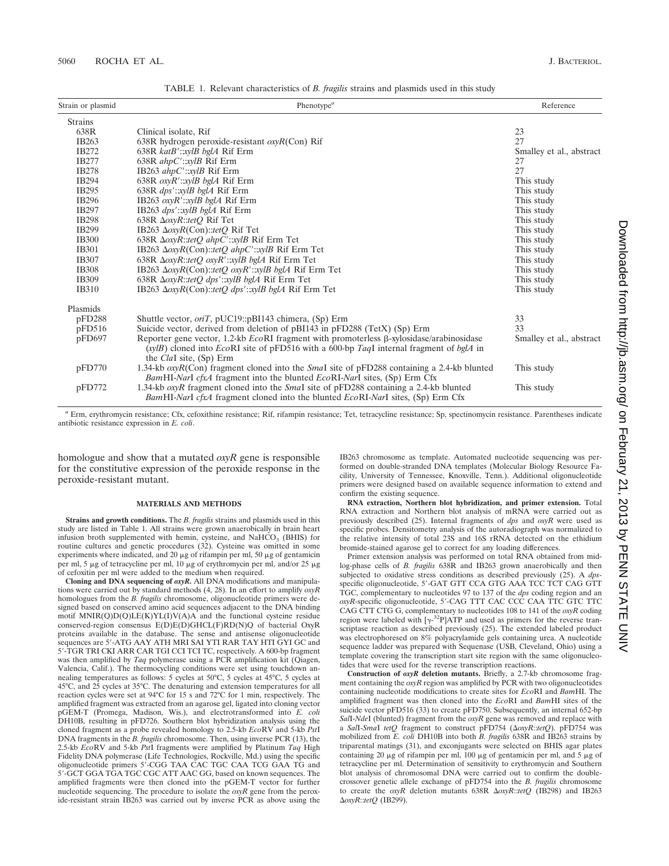| Strain or plasmid | Phenotype <sup><math>a</math></sup>                                                                                                                                                                                            | Reference                |
|-------------------|--------------------------------------------------------------------------------------------------------------------------------------------------------------------------------------------------------------------------------|--------------------------|
| <b>Strains</b>    |                                                                                                                                                                                                                                |                          |
| 638R              | Clinical isolate, Rif                                                                                                                                                                                                          | 23                       |
| IB263             | 638R hydrogen peroxide-resistant $\alpha yR$ (Con) Rif                                                                                                                                                                         | 27                       |
| IB272             | $638R$ katB'::xylB bglA Rif Erm                                                                                                                                                                                                | Smalley et al., abstract |
| IB277             | 638R ahpC':xylB Rif Erm                                                                                                                                                                                                        | 27                       |
| <b>IB278</b>      | IB263 ahpC'::xylB Rif Erm                                                                                                                                                                                                      | 27                       |
| IB294             | 638R $oxyR':xylB$ bglA Rif Erm                                                                                                                                                                                                 | This study               |
| IB295             | 638R dps':xylB bglA Rif Erm                                                                                                                                                                                                    | This study               |
| IB296             | IB263 oxyR':xylB bglA Rif Erm                                                                                                                                                                                                  | This study               |
| IB297             | IB263 dps':xylB bglA Rif Erm                                                                                                                                                                                                   | This study               |
| <b>IB298</b>      | 638R $\Delta$ oxyR::tetQ Rif Tet                                                                                                                                                                                               | This study               |
| IB299             | IB263 $\Delta$ oxyR(Con)::tetQ Rif Tet                                                                                                                                                                                         | This study               |
| <b>IB300</b>      | 638R $\Delta$ oxyR::tetQ ahpC'::xylB Rif Erm Tet                                                                                                                                                                               | This study               |
| <b>IB301</b>      | IB263 $\Delta$ oxyR(Con)::tetQ ahpC'::xylB Rif Erm Tet                                                                                                                                                                         | This study               |
| <b>IB307</b>      | 638R $\Delta$ oxyR::tetQ oxyR':xylB bglA Rif Erm Tet                                                                                                                                                                           | This study               |
| <b>IB308</b>      | IB263 $\Delta$ oxyR(Con)::tetQ oxyR'::xylB bglA Rif Erm Tet                                                                                                                                                                    | This study               |
| IB309             | 638R $\Delta$ oxyR::tetQ dps':xylB bglA Rif Erm Tet                                                                                                                                                                            | This study               |
| <b>IB310</b>      | IB263 $\Delta$ oxyR(Con)::tetO dps'::xylB bglA Rif Erm Tet                                                                                                                                                                     | This study               |
| Plasmids          |                                                                                                                                                                                                                                |                          |
| pFD288            | Shuttle vector, <i>oriT</i> , pUC19::pBI143 chimera, (Sp) Erm                                                                                                                                                                  | 33                       |
| pFD516            | Suicide vector, derived from deletion of pBI143 in pFD288 (TetX) (Sp) Erm                                                                                                                                                      | 33                       |
| pFD697            | Reporter gene vector, 1.2-kb $EcoRI$ fragment with promoterless $\beta$ -xylosidase/arabinosidase<br>(xylB) cloned into EcoRI site of pFD516 with a 600-bp TaqI internal fragment of bglA in<br>the <i>ClaI</i> site, (Sp) Erm | Smalley et al., abstract |
| pFD770            | 1.34-kb $\alpha$ yR(Con) fragment cloned into the <i>Smal</i> site of pFD288 containing a 2.4-kb blunted<br><i>BamHI-NarI cfxA</i> fragment into the blunted <i>EcoRI-NarI</i> sites, (Sp) Erm Cfx                             | This study               |
| pFD772            | 1.34-kb <i>oxyR</i> fragment cloned into the <i>Smal</i> site of pFD288 containing a 2.4-kb blunted<br><i>BamHI-NarI cfxA</i> fragment cloned into the blunted <i>EcoRI-NarI</i> sites, (Sp) Erm Cfx                           | This study               |

TABLE 1. Relevant characteristics of *B. fragilis* strains and plasmids used in this study

*<sup>a</sup>* Erm, erythromycin resistance; Cfx, cefoxithine resistance; Rif, rifampin resistance; Tet, tetracycline resistance; Sp, spectinomycin resistance. Parentheses indicate antibiotic resistance expression in *E. coli*.

homologue and show that a mutated *oxyR* gene is responsible for the constitutive expression of the peroxide response in the peroxide-resistant mutant.

#### **MATERIALS AND METHODS**

**Strains and growth conditions.** The *B. fragilis* strains and plasmids used in this study are listed in Table 1. All strains were grown anaerobically in brain heart infusion broth supplemented with hemin, cysteine, and NaHCO<sub>3</sub> (BHIS) for routine cultures and genetic procedures (32). Cysteine was omitted in some experiments where indicated, and 20  $\mu$ g of rifampin per ml, 50  $\mu$ g of gentamicin per ml, 5 µg of tetracycline per ml, 10 µg of erythromycin per ml, and/or 25 µg of cefoxitin per ml were added to the medium when required.

**Cloning and DNA sequencing of** *oxyR***.** All DNA modifications and manipulations were carried out by standard methods (4, 28). In an effort to amplify *oxyR* homologues from the *B. fragilis* chromosome, oligonucleotide primers were designed based on conserved amino acid sequences adjacent to the DNA binding motif MNIR(Q)D(Q)LE(K)YL(I)V(A)A and the functional cysteine residue conserved-region consensus E(D)E(D)GHCL(F)RD(N)Q of bacterial OxyR proteins available in the database. The sense and antisense oligonucleotide sequences are 5'-ATG AAY ATH MRI SAI YTI RAR TAY HTI GYI GC and 5'-TGR TRI CKI ARR CAR TGI CCI TCI TC, respectively. A 600-bp fragment was then amplified by *Taq* polymerase using a PCR amplification kit (Qiagen, Valencia, Calif.). The thermocycling conditions were set using touchdown annealing temperatures as follows: 5 cycles at 50°C, 5 cycles at 45°C, 5 cycles at 45°C, and 25 cycles at 35°C. The denaturing and extension temperatures for all reaction cycles were set at 94°C for 15 s and 72°C for 1 min, respectively. The amplified fragment was extracted from an agarose gel, ligated into cloning vector pGEM-T (Promega, Madison, Wis.), and electrotransformed into *E. coli* DH10B, resulting in pFD726. Southern blot hybridization analysis using the cloned fragment as a probe revealed homology to 2.5-kb *Eco*RV and 5-kb *Pst*I DNA fragments in the *B. fragilis* chromosome. Then, using inverse PCR (13), the 2.5-kb *Eco*RV and 5-kb *Pst*I fragments were amplified by Platinum *Taq* High Fidelity DNA polymerase (Life Technologies, Rockville, Md.) using the specific oligonucleotide primers 5'-CGG TAA CAC TGC CAA TCG GAA TG and 5'-GCT GGA TGA TGC CGC ATT AAC GG, based on known sequences. The amplified fragments were then cloned into the pGEM-T vector for further nucleotide sequencing. The procedure to isolate the *oxyR* gene from the peroxide-resistant strain IB263 was carried out by inverse PCR as above using the IB263 chromosome as template. Automated nucleotide sequencing was performed on double-stranded DNA templates (Molecular Biology Resource Facility, University of Tennessee, Knoxville, Tenn.). Additional oligonucleotide primers were designed based on available sequence information to extend and confirm the existing sequence.

**RNA extraction, Northern blot hybridization, and primer extension.** Total RNA extraction and Northern blot analysis of mRNA were carried out as previously described (25). Internal fragments of *dps* and *oxyR* were used as specific probes. Densitometry analysis of the autoradiograph was normalized to the relative intensity of total 23S and 16S rRNA detected on the ethidium bromide-stained agarose gel to correct for any loading differences.

Primer extension analysis was performed on total RNA obtained from midlog-phase cells of *B. fragilis* 638R and IB263 grown anaerobically and then subjected to oxidative stress conditions as described previously (25). A *dps*specific oligonucleotide, 5'-GAT GTT CCA GTG AAA TCC TCT CAG GTT TGC, complementary to nucleotides 97 to 137 of the *dps* coding region and an  $oxyR$ -specific oligonucleotide, 5'-CAG TTT CAC CCC CAA TTC GTC TTC CAG CTT CTG G, complementary to nucleotides 108 to 141 of the *oxyR* coding region were labeled with  $[\gamma^{-32}P]ATP$  and used as primers for the reverse transcriptase reaction as described previously (25). The extended labeled product was electrophoresed on 8% polyacrylamide gels containing urea. A nucleotide sequence ladder was prepared with Sequenase (USB, Cleveland, Ohio) using a template covering the transcription start site region with the same oligonucleotides that were used for the reverse transcription reactions.

**Construction of** *oxyR* **deletion mutants.** Briefly, a 2.7-kb chromosome fragment containing the *oxyR* region was amplified by PCR with two oligonucleotides containing nucleotide modifications to create sites for *Eco*RI and *Bam*HI. The amplified fragment was then cloned into the *Eco*RI and *Bam*HI sites of the suicide vector pFD516 (33) to create pFD750. Subsequently, an internal 652-bp *Sal*I-*Nde*I (blunted) fragment from the *oxyR* gene was removed and replace with a *SalI-SmaI tetQ* fragment to construct pFD754 ( $\Delta OX$ *R::tetQ*). pFD754 was mobilized from *E. coli* DH10B into both *B. fragilis* 638R and IB263 strains by triparental matings (31), and exconjugants were selected on BHIS agar plates containing 20  $\mu$ g of rifampin per ml, 100  $\mu$ g of gentamicin per ml, and 5  $\mu$ g of tetracycline per ml. Determination of sensitivity to erythromycin and Southern blot analysis of chromosomal DNA were carried out to confirm the doublecrossover genetic allele exchange of pFD754 into the *B. fragilis* chromosome to create the  $\alpha$ yR deletion mutants 638R  $\Delta \alpha$ yR::tetQ (IB298) and IB263 D*oxyR*::*tetQ* (IB299).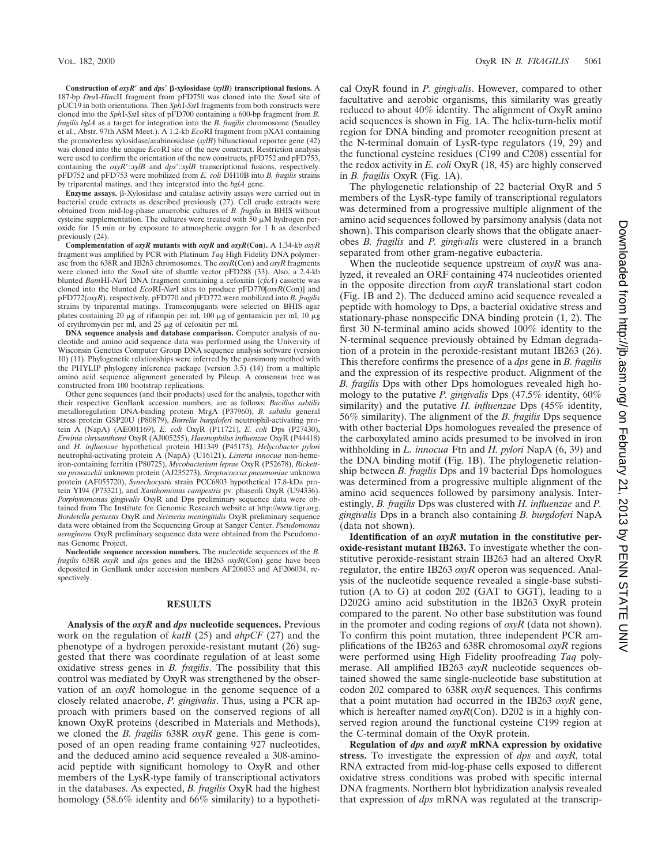**Construction of** *oxyR*\* **and** *dps*\* b**-xylosidase (***xylB***) transcriptional fusions.** A 187-bp *Dra*I-*Hin*cII fragment from pFD750 was cloned into the *Sma*I site of pUC19 in both orientations. Then *Sph*I-*Sst*I fragments from both constructs were cloned into the *Sph*I-*Sst*I sites of pFD700 containing a 600-bp fragment from *B. fragilis bglA* as a target for integration into the *B. fragilis* chromosome (Smalley et al., Abstr. 97th ASM Meet.). A 1.2-kb *Eco*RI fragment from pXA1 containing the promoterless xylosidase/arabinosidase (*xylB*) bifunctional reporter gene (42) was cloned into the unique *Eco*RI site of the new construct. Restriction analysis were used to confirm the orientation of the new constructs, pFD752 and pFD753, containing the  $\alpha$ *xyR* $':$ *:xylB* and  $\alpha$ *ps* $':$ *:xylB* transcriptional fusions, respectively. pFD752 and pFD753 were mobilized from *E. coli* DH10B into *B. fragilis* strains by triparental matings, and they integrated into the *bglA* gene.

**Enzyme assays.**  $\beta$ -Xylosidase and catalase activity assays were carried out in bacterial crude extracts as described previously (27). Cell crude extracts were obtained from mid-log-phase anaerobic cultures of *B. fragilis* in BHIS without cysteine supplementation. The cultures were treated with  $50 \mu M$  hydrogen peroxide for 15 min or by exposure to atmospheric oxygen for 1 h as described previously (24).

**Complementation of** *oxyR* **mutants with** *oxyR* **and** *oxyR***(Con).** A 1.34-kb *oxyR* fragment was amplified by PCR with Platinum *Taq* High Fidelity DNA polymerase from the 638R and IB263 chromosomes. The *oxyR*(Con) and *oxyR* fragments were cloned into the *Sma*I site of shuttle vector pFD288 (33). Also, a 2.4-kb blunted *Bam*HI-*Nar*I DNA fragment containing a cefoxitin (*cfxA*) cassette was cloned into the blunted *Eco*RI-*Nar*I sites to produce pFD770[*oxyR*(Con)] and pFD772(*oxyR*), respectively. pFD770 and pFD772 were mobilized into *B. fragilis* strains by triparental matings. Transconjugants were selected on BHIS agar plates containing 20  $\mu$ g of rifampin per ml, 100  $\mu$ g of gentamicin per ml, 10  $\mu$ g of erythromycin per ml, and  $25 \mu g$  of cefoxitin per ml.

**DNA sequence analysis and database comparison.** Computer analysis of nucleotide and amino acid sequence data was performed using the University of Wisconsin Genetics Computer Group DNA sequence analysis software (version 10) (11). Phylogenetic relationships were inferred by the parsimony method with the PHYLIP phylogeny inference package (version 3.5) (14) from a multiple amino acid sequence alignment generated by Pileup. A consensus tree was constructed from 100 bootstrap replications.

Other gene sequences (and their products) used for the analysis, together with their respective GenBank accession numbers, are as follows: *Bacillus subtilis* metalloregulation DNA-binding protein MrgA (P37960), *B. subtilis* general stress protein GSP20U (P80879), *Borrelia burgdoferi* neutrophil-activating protein A (NapA) (AE001169), *E. coli* OxyR (P11721), *E. coli* Dps (P27430), *Erwinia chrysanthemi* OxyR (AJ005255), *Haemophilus influenzae* OxyR (P44418) and *H. influenzae* hypothetical protein HI1349 (P45173), *Helycobacter pylori* neutrophil-activating protein A (NapA) (U16121), *Listeria innocua* non-hemeiron-containing ferritin (P80725), *Mycobacterium leprae* OxyR (P52678), *Rickettsia prowazekii* unknown protein (AJ235273), *Streptococcus pneumoniae* unknown protein (AF055720), *Synechocystis* strain PCC6803 hypothetical 17.8-kDa protein YI94 (P73321), and *Xanthomonas campestris* pv. phaseoli OxyR (U94336). *Porphyromonas gingivalis* OxyR and Dps preliminary sequence data were obtained from The Institute for Genomic Research website at http://www.tigr.org. *Bordetella pertussis* OxyR and *Neisseria meningitidis* OxyR preliminary sequence data were obtained from the Sequencing Group at Sanger Center. *Pseudomonas aeruginosa* OxyR preliminary sequence data were obtained from the Pseudomonas Genome Project.

**Nucleotide sequence accession numbers.** The nucleotide sequences of the *B. fragilis* 638R *oxyR* and *dps* genes and the IB263 *oxyR*(Con) gene have been deposited in GenBank under accession numbers AF206033 and AF206034, respectively.

#### **RESULTS**

**Analysis of the** *oxyR* **and** *dps* **nucleotide sequences.** Previous work on the regulation of *katB* (25) and *ahpCF* (27) and the phenotype of a hydrogen peroxide-resistant mutant (26) suggested that there was coordinate regulation of at least some oxidative stress genes in *B. fragilis*. The possibility that this control was mediated by OxyR was strengthened by the observation of an *oxyR* homologue in the genome sequence of a closely related anaerobe, *P. gingivalis*. Thus, using a PCR approach with primers based on the conserved regions of all known OxyR proteins (described in Materials and Methods), we cloned the *B. fragilis* 638R *oxyR* gene. This gene is composed of an open reading frame containing 927 nucleotides, and the deduced amino acid sequence revealed a 308-aminoacid peptide with significant homology to OxyR and other members of the LysR-type family of transcriptional activators in the databases. As expected, *B. fragilis* OxyR had the highest homology (58.6% identity and 66% similarity) to a hypothetical OxyR found in *P. gingivalis*. However, compared to other facultative and aerobic organisms, this similarity was greatly reduced to about 40% identity. The alignment of OxyR amino acid sequences is shown in Fig. 1A. The helix-turn-helix motif region for DNA binding and promoter recognition present at the N-terminal domain of LysR-type regulators (19, 29) and the functional cysteine residues (C199 and C208) essential for the redox activity in *E. coli* OxyR (18, 45) are highly conserved in *B. fragilis* OxyR (Fig. 1A).

The phylogenetic relationship of 22 bacterial OxyR and 5 members of the LysR-type family of transcriptional regulators was determined from a progressive multiple alignment of the amino acid sequences followed by parsimony analysis (data not shown). This comparison clearly shows that the obligate anaerobes *B. fragilis* and *P. gingivalis* were clustered in a branch separated from other gram-negative eubacteria.

When the nucleotide sequence upstream of *oxyR* was analyzed, it revealed an ORF containing 474 nucleotides oriented in the opposite direction from *oxyR* translational start codon (Fig. 1B and 2). The deduced amino acid sequence revealed a peptide with homology to Dps, a bacterial oxidative stress and stationary-phase nonspecific DNA binding protein (1, 2). The first 30 N-terminal amino acids showed 100% identity to the N-terminal sequence previously obtained by Edman degradation of a protein in the peroxide-resistant mutant IB263 (26). This therefore confirms the presence of a *dps* gene in *B. fragilis* and the expression of its respective product. Alignment of the *B. fragilis* Dps with other Dps homologues revealed high homology to the putative *P. gingivalis* Dps (47.5% identity, 60% similarity) and the putative *H. influenzae* Dps (45% identity, 56% similarity). The alignment of the *B. fragilis* Dps sequence with other bacterial Dps homologues revealed the presence of the carboxylated amino acids presumed to be involved in iron withholding in *L. innocua* Ftn and *H. pylori* NapA (6, 39) and the DNA binding motif (Fig. 1B). The phylogenetic relationship between *B. fragilis* Dps and 19 bacterial Dps homologues was determined from a progressive multiple alignment of the amino acid sequences followed by parsimony analysis. Interestingly, *B. fragilis* Dps was clustered with *H. influenzae* and *P. gingivalis* Dps in a branch also containing *B. burgdoferi* NapA (data not shown).

**Identification of an** *oxyR* **mutation in the constitutive peroxide-resistant mutant IB263.** To investigate whether the constitutive peroxide-resistant strain IB263 had an altered OxyR regulator, the entire IB263 *oxyR* operon was sequenced. Analysis of the nucleotide sequence revealed a single-base substitution (A to G) at codon 202 (GAT to GGT), leading to a D202G amino acid substitution in the IB263 OxyR protein compared to the parent. No other base substitution was found in the promoter and coding regions of *oxyR* (data not shown). To confirm this point mutation, three independent PCR amplifications of the IB263 and 638R chromosomal *oxyR* regions were performed using High Fidelity proofreading *Taq* polymerase. All amplified IB263 *oxyR* nucleotide sequences obtained showed the same single-nucleotide base substitution at codon 202 compared to 638R *oxyR* sequences. This confirms that a point mutation had occurred in the IB263 *oxyR* gene, which is hereafter named  $\alpha yR$ (Con). D202 is in a highly conserved region around the functional cysteine C199 region at the C-terminal domain of the OxyR protein.

**Regulation of** *dps* **and** *oxyR* **mRNA expression by oxidative stress.** To investigate the expression of *dps* and *oxyR*, total RNA extracted from mid-log-phase cells exposed to different oxidative stress conditions was probed with specific internal DNA fragments. Northern blot hybridization analysis revealed that expression of *dps* mRNA was regulated at the transcrip-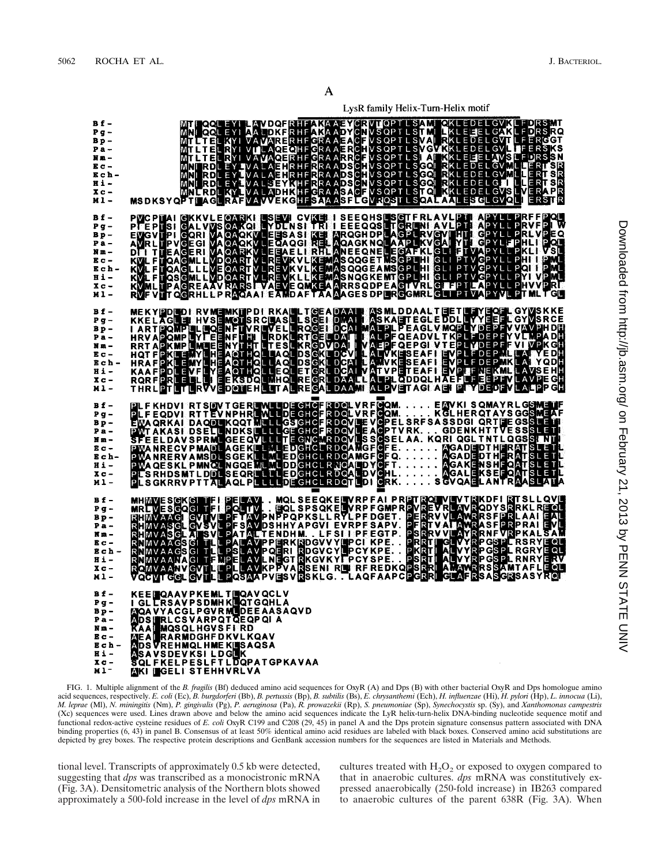LysR family Helix-Turn-Helix motif

| Bf-<br>$Pg$ –<br>Bp-<br>$Pa -$<br>Nm –<br>$E_C -$<br>Ech-<br><b>Hi-</b><br>X <sub>c</sub><br>Ml-                        | MITLIEL KYI VAUARER HEAKAARTCRVIOPTLSAMIQKLEDEL GVKLFDRSMOMILIEL KYI VAUARER HEGRAAEACF VSQPTLSTMLLKLEHEL GAKLEDESRQ<br>MITLIEL KYI VAUARER HEGRAAEACF VSQPTLSVAMILKLEHEL GAKLEDESRQ<br>MITLIEL RYI VAUARER HEGRAAEACF VSQPTLSVAMILI                                                 |
|-------------------------------------------------------------------------------------------------------------------------|--------------------------------------------------------------------------------------------------------------------------------------------------------------------------------------------------------------------------------------------------------------------------------------|
| $Bf -$<br>Pg-<br>Bp-<br>Pa –<br>Nm-<br>$E_C -$<br>Ech-<br>H 1 -<br>X <sub>c</sub><br>$M_1 -$                            | PYCPTAI GKKVLEGARKI LSEVI CVKEI I SEEQHSLSGTFRLAVLPTI APYLLPRKFFPQU<br>PFEPTSI GALVVSGARQI LYDLNSI TRI I EEEQQSLTGRLNI AVLPTI APYLLPRVFPI W<br>EVGVTPI GQRI VAQAQKVLEGAQGI RELAQAGKNQLAAPLKVGAI YTI GPYLLPRLVPEQ<br>AVRLTPVGEGI VAQAQKV                                              |
| $Bf -$<br>$P g -$<br>$B_{\rm p}$ –<br>Pa-<br>Nm-<br>$E_{\rm C}$ –<br>Ech-<br><b>Hi-</b><br>X <sub>C</sub><br>$M1 -$     | MEKYPDEDI RVMEMKTPDI RKALLIGEADAAT ASMLDDAALTEETLEYEQFLGYVSKKE<br>KKELAGEEN HVSEMOTSRCBASLLSGEI DKATI ASKAETEGLEDDLEYYEGELGYVSRCE<br>LARTPOMPELEGENFITYREVELLRQGEI DCATMATPLPEAGLYMQPLYDEPFYVAVPHDH<br>HRVAPOMPEYTEENFITH ERDKERTGELDAI                                              |
| $Bf -$<br>$Pq -$<br>$BP -$<br>Pa-<br>Nm-<br>Ec-<br>Ech-<br><b>Hi-</b><br>$X_C -$<br>$M1 -$                              | PLF KHDVI RTSDVTGER ENGLISTER DOLVRFOQMENVKISQMAYRLGSMENT<br>EWAQRKAI DAQDEKQQTMELLGSGHCFRDQVDEVGPELSRFSASSDGIQRTFEGSSLETI<br>PWTAKASI DSELLNDKSDELLGEGHCFRDQVDEVGPELSRFSASSDGIQRTFEGSSLETI<br>SFEELDAVSPRMLGEEQVLETLGEGHCFRDQVDE                                                    |
| Bf-<br>P <sub>g</sub><br>$B_{\rm p}$ –<br>$Pa -$<br>$M = -$<br>$E_{C}$ –<br>Ech-<br>Hi-<br>X <sub>C</sub><br><b>M1-</b> | MHMVESGKGITTIPELAVMQLSEEQKELVRPFAIPRPTRQLVLVTRKDFIRTSLLQVL<br>MRLVESGQGITTIPQLTVGQLSPSQKELVRPFGMPRPVREVRLVNRQDYSRRKLREQL<br>RHMVAAGIGVIVLPFTAVPNPPQPKSLLRYLPFDGET.PERRVVLAWRRSFPRLAAIEAL<br>RHMVASGLGVSVLPFSAVDSHHYAPGVIEVRPFSAPV                                                    |
| <b>Bf-</b><br>$Pg -$<br>Bp-<br>Pa-<br>$Mm -$<br>E c –<br>Ech-<br><b>Hi-</b><br>$x -$<br>$M1^-$                          | KEE GAAVPKEMLTGAAVQCLV<br>IGLERSAVPSDMHKGQTGQHLA<br>MQAVYACGLPGVRMEDEEAASAQVD<br>∆ DS ∭ERL CSVARP QT QE QP QIA<br><b>KAA MQSQLHGVSFIRD</b><br>MEA PRARMDGHFDKVLKQAV<br><b>MDSVREHMQLHMEKLISAQSA</b><br>ASAVSDEVKSILDGEK<br>SQLFKELPESLFTLDQPATGPKAVAA<br><b>MKI MIGELISTEHHVRLVA</b> |

FIG. 1. Multiple alignment of the *B. fragilis* (Bf) deduced amino acid sequences for OxyR (A) and Dps (B) with other bacterial OxyR and Dps homologue amino acid sequences, respectively. E. coli (Ec), B. burgdorferi (Bb), B. pertussis (Bp), B. subtilis (Bs), E. chrysanthemi (Ech), H. influenzae (Hi), H. pylori (Hp), L. innocua (Li), *M. leprae* (Ml), *N. miningitis* (Nm), *P. gingivalis* (Pg), *P. aeruginosa* (Pa), *R. prowazekii* (Rp), *S. pneumoniae* (Sp), *Synechocystis* sp. (Sy), and *Xanthomonas campestris* (Xc) sequences were used. Lines drawn above and below the amino acid sequences indicate the LyR helix-turn-helix DNA-binding nucleotide sequence motif and functional redox-active cysteine residues of *E. coli* OxyR C199 and C208 (29, 45) in panel A and the Dps protein signature consensus pattern associated with DNA binding properties (6, 43) in panel B. Consensus of at least 50% identical amino acid residues are labeled with black boxes. Conserved amino acid substitutions are depicted by grey boxes. The respective protein descriptions and GenBank accession numbers for the sequences are listed in Materials and Methods.

tional level. Transcripts of approximately 0.5 kb were detected, suggesting that *dps* was transcribed as a monocistronic mRNA (Fig. 3A). Densitometric analysis of the Northern blots showed approximately a 500-fold increase in the level of *dps* mRNA in cultures treated with  $H_2O_2$  or exposed to oxygen compared to that in anaerobic cultures. *dps* mRNA was constitutively expressed anaerobically (250-fold increase) in IB263 compared to anaerobic cultures of the parent 638R (Fig. 3A). When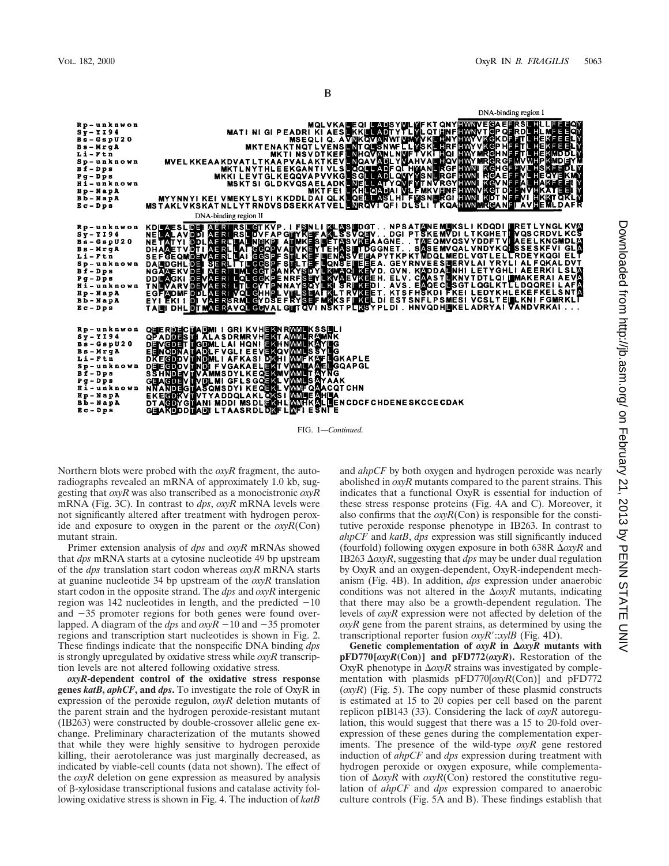вē

B

D<br>
MQL VKA HEL<br>
MATI NI GI PEADRI KI AES HKI<br>
MKTENA KTINGY LITERAPY<br>
MKTINGY DI NE MATI NSVDT KEF NI<br>
MKTL NYTHLEEKGANTI VLS HAR<br>
MKTL NYTHLEEKGANTI VLS HAR<br>
MKKL EVTGL KEQQVA PVVKG BO<br>
MKKL EVTGL KEQQVA PVVKG BO<br>
MKTEEI DNA-binding region I **KT QN** Rp-unknwon  $s_y - r_194$ <br>  $s_s - s_s p v_2 0$ **NKOVA** Bs-WrgA NT QUE IRGH NF<br>IRGR CF<br>KGH CF  $L_i - F t$ n **MNL NMH** Li-Ftn<br>Sp-unknown<br>Bf-Dps<br>Bi-Dps **NQAVA** ADF OF HY RGF<br>RGF Pg-Dps<br>Hi-unknown **VRG** LATYOV<br>QADAIV<br>LASLHI k.e Hp-NapA<br>Bb-NapA MKTFEI<br>MYYNNYI KEI VMEKYLSYI KKDDLDAI QLKI<br>MSTAKLVKSKATNLLYTRNDVSDSEKKATVEL Pei  $E_C - DpS$ OFI DI WIT DESCRIPTION IN A MARRIA CONTRATA CONTRATA CONTRA CONTRA CONTRA CONTRA CONTRA CONTRA CONTRA CONTRA CONTRA CONTRA CONTRA CONTRA CONTRA CONTRA CONTRA CONTRA CONTRA CONTRA CONTRA CONTRA CONTRA CONTRA CONTRA CONTRA CONTRA C DNA-binding region II AFRIKSLIGT KVP. I FSNLI MLASIDGT<br>AFRIKSLIDVFAP GIJYKEFAMLSSVOSV<br>AFRILLALNGKPI ALMKESLET ASVIGA<br>AFRILLAI GGODYALIVKEYT EHASIVEBA<br>AFRILLAI GGSPF SLILTEFILONS EILEBA<br>SERILLTLIGGSPF SLILTEFILONS EILEBE SLDE<br>AVDDI<br>YIDDI<br>TVDHI<br>QMDEV Rp-unkn **TAL**<br>ACCESS **A A A A A A**  $S_Y - Y$ 194 NË<br>Në  $-$ GspU20 KEJA A GNE<br>I DGGNET  $Bs - MrgA$ 'nн **SEFGEQMORY<br>DAUDGHLDBI<br>DAUDGHLDBI<br>NGAMEKVDBI<br>DDUMGKIDBV<br>TNUVARVDBV<br>EGFMDMFDDL** Li-Ftn Sp-unkno<br>Bf-Dps  $R_{\overline{R}}$ w n GGi **QL** GG Pg-Dps<br>Hi-unknown  $\overline{R}$ **DEVAL RISRML**<br>RSRML Hp-Napa<br>Bb-Napa G) GFADMF<br>YIEKII YDSE E  $E_C - D \overline{p} \overline{s}$ LESYPLDI . HNVQDHIKELADRYAI DHL **GEVAL GIFT** U GRIKVHEKNRWWLKSSELI<br>SDRMRVHEKTAWMLRAMNK<br>AIHQNFIEKHAWMLKAVELG<br>GELIEKVEKQVMMLSSYELG<br>GELIEKVEKQVMMLSSYELG<br>AFKASIDKHIWMLTAYNG<br>SDYLKEQEKLVMMLTAYNG<br>SDYLKEQEKLVMMLSAYAAK<br>GFLSGGEKLVMMLSAYAAK<br>GFLSGGEKLVMMLSAYAAK<br>SDYLKEQEKLVMMLSAYAA **TADMI<br>THALA**<br>TGDML<br>TADLF Rp-unknwon<br>Sy-YI94 QEERDEC<br>QPADDES IGRIKVH<br>SDRMRVH **CEACORD TO AND THE COMPLISHMENT CONTRACT CONTRACT COMPLISHMENT**<br>SENCORD OV UND THE COMPLISHMENT CONTRACT CONTRACT COMPLISHMENT CONTRACT CONTRACT CONTRACT CONTRACT CONTRACT CONTR<br>COMPLISHMENT CONTRACT CONTRACT CONTRACT CON  $BS - GSDU20$  $Bs - NrgA$  $L_i - F t n$  $S<sub>p</sub> - u<sub>n</sub>$ kno w n  $Bf - Dps$ Pg-Dps<br>Hi-unkno **GEACHE DLMI**<br>SQMS ENH **HOT YADDOLAKLONS**<br>MGTANIMDDIMSDLETAH<br>PDTADILTAASRDLDNF Hp-NapA **H**ÊN  $<sub>B</sub>$  $<sub>D</sub>$   $<sub>N</sub>$  $<sub>2</sub>$  $<sub>N</sub>$  $<sub>3</sub>$  $<sub>N</sub>$ </sub></sub></sub></sub></sub></sub></sub> **CDCF CHDENESKCCE CDAK** / דמ  $Bc - DpB$ 

FIG. 1—*Continued.*

Northern blots were probed with the *oxyR* fragment, the autoradiographs revealed an mRNA of approximately 1.0 kb, suggesting that *oxyR* was also transcribed as a monocistronic *oxyR* mRNA (Fig. 3C). In contrast to *dps*, *oxyR* mRNA levels were not significantly altered after treatment with hydrogen peroxide and exposure to oxygen in the parent or the *oxyR*(Con) mutant strain.

Primer extension analysis of *dps* and *oxyR* mRNAs showed that *dps* mRNA starts at a cytosine nucleotide 49 bp upstream of the *dps* translation start codon whereas *oxyR* mRNA starts at guanine nucleotide 34 bp upstream of the *oxyR* translation start codon in the opposite strand. The *dps* and *oxyR* intergenic region was 142 nucleotides in length, and the predicted  $-10$ and  $-35$  promoter regions for both genes were found overlapped. A diagram of the *dps* and  $\alpha$ *xyR* -10 and -35 promoter regions and transcription start nucleotides is shown in Fig. 2. These findings indicate that the nonspecific DNA binding *dps* is strongly upregulated by oxidative stress while *oxyR* transcription levels are not altered following oxidative stress.

*oxyR***-dependent control of the oxidative stress response genes** *katB***,** *aphCF***, and** *dps***.** To investigate the role of OxyR in expression of the peroxide regulon, *oxyR* deletion mutants of the parent strain and the hydrogen peroxide-resistant mutant (IB263) were constructed by double-crossover allelic gene exchange. Preliminary characterization of the mutants showed that while they were highly sensitive to hydrogen peroxide killing, their aerotolerance was just marginally decreased, as indicated by viable-cell counts (data not shown). The effect of the *oxyR* deletion on gene expression as measured by analysis of b-xylosidase transcriptional fusions and catalase activity following oxidative stress is shown in Fig. 4. The induction of *katB* and *ahpCF* by both oxygen and hydrogen peroxide was nearly abolished in *oxyR* mutants compared to the parent strains. This indicates that a functional OxyR is essential for induction of these stress response proteins (Fig. 4A and C). Moreover, it also confirms that the *oxyR*(Con) is responsible for the constitutive peroxide response phenotype in IB263. In contrast to *ahpCF* and *katB*, *dps* expression was still significantly induced (fourfold) following oxygen exposure in both 638R  $\Delta OXYR$  and IB263  $\Delta$ *oxyR*, suggesting that *dps* may be under dual regulation by OxyR and an oxygen-dependent, OxyR-independent mechanism (Fig. 4B). In addition, *dps* expression under anaerobic conditions was not altered in the  $\Delta$ *oxyR* mutants, indicating that there may also be a growth-dependent regulation. The levels of *oxyR* expression were not affected by deletion of the *oxyR* gene from the parent strains, as determined by using the transcriptional reporter fusion *oxyR'*:*xylB* (Fig. 4D).

Genetic complementation of  $oxyR$  in  $\Delta oxyR$  mutants with **pFD770[***oxyR***(Con)] and pFD772(***oxyR***).** Restoration of the OxyR phenotype in  $\Delta$ *oxyR* strains was investigated by complementation with plasmids pFD770[*oxyR*(Con)] and pFD772 (*oxyR*) (Fig. 5). The copy number of these plasmid constructs is estimated at 15 to 20 copies per cell based on the parent replicon pIB143 (33). Considering the lack of *oxyR* autoregulation, this would suggest that there was a 15 to 20-fold overexpression of these genes during the complementation experiments. The presence of the wild-type *oxyR* gene restored induction of *ahpCF* and *dps* expression during treatment with hydrogen peroxide or oxygen exposure, while complementation of  $\Delta$ *oxyR* with *oxyR*(Con) restored the constitutive regulation of *ahpCF* and *dps* expression compared to anaerobic culture controls (Fig. 5A and B). These findings establish that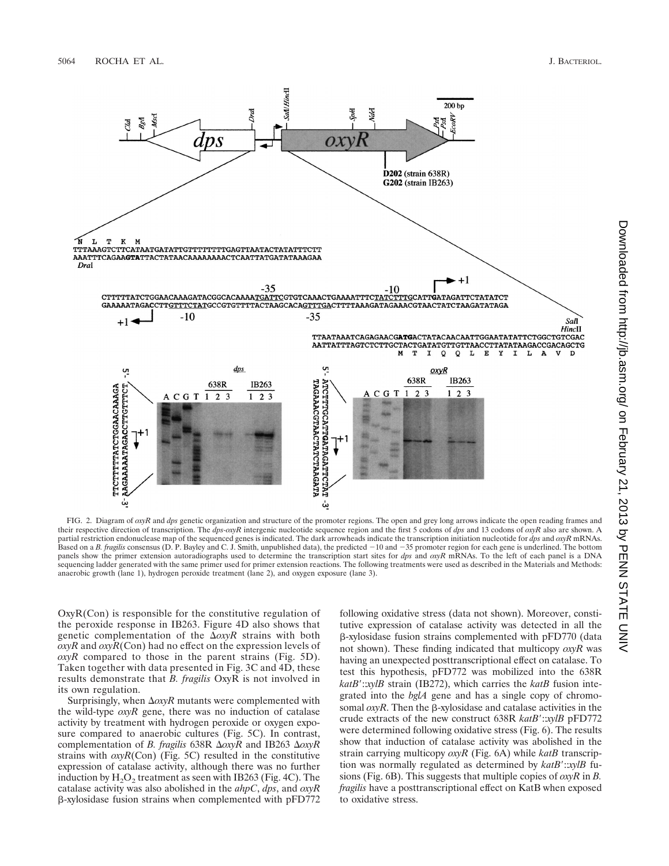

FIG. 2. Diagram of *oxyR* and *dps* genetic organization and structure of the promoter regions. The open and grey long arrows indicate the open reading frames and their respective direction of transcription. The *dps-oxyR* intergenic nucleotide sequence region and the first 5 codons of *dps* and 13 codons of *oxyR* also are shown. A partial restriction endonuclease map of the sequenced genes is indicated. The dark arrowheads indicate the transcription initiation nucleotide for *dps* and *oxyR* mRNAs. Based on a *B. fragilis* consensus (D. P. Bayley and C. J. Smith, unpublished data), the predicted  $-10$  and  $-35$  promoter region for each gene is underlined. The bottom panels show the primer extension autoradiographs used to determine the transcription start sites for *dps* and *oxyR* mRNAs. To the left of each panel is a DNA sequencing ladder generated with the same primer used for primer extension reactions. The following treatments were used as described in the Materials and Methods: anaerobic growth (lane 1), hydrogen peroxide treatment (lane 2), and oxygen exposure (lane 3).

OxyR(Con) is responsible for the constitutive regulation of the peroxide response in IB263. Figure 4D also shows that genetic complementation of the  $\Delta oxyR$  strains with both *oxyR* and *oxyR*(Con) had no effect on the expression levels of *oxyR* compared to those in the parent strains (Fig. 5D). Taken together with data presented in Fig. 3C and 4D, these results demonstrate that *B. fragilis* OxyR is not involved in its own regulation.

Surprisingly, when  $\Delta$ *oxyR* mutants were complemented with the wild-type *oxyR* gene, there was no induction of catalase activity by treatment with hydrogen peroxide or oxygen exposure compared to anaerobic cultures (Fig. 5C). In contrast, complementation of *B. fragilis* 638R Δ*oxyR* and IB263 Δ*oxyR* strains with *oxyR*(Con) (Fig. 5C) resulted in the constitutive expression of catalase activity, although there was no further induction by  $H_2O_2$  treatment as seen with IB263 (Fig. 4C). The catalase activity was also abolished in the *ahpC*, *dps*, and *oxyR* b-xylosidase fusion strains when complemented with pFD772 following oxidative stress (data not shown). Moreover, constitutive expression of catalase activity was detected in all the b-xylosidase fusion strains complemented with pFD770 (data not shown). These finding indicated that multicopy *oxyR* was having an unexpected posttranscriptional effect on catalase. To test this hypothesis, pFD772 was mobilized into the 638R *katB*9::*xylB* strain (IB272), which carries the *katB* fusion integrated into the *bglA* gene and has a single copy of chromosomal  $\alpha$ yR. Then the  $\beta$ -xylosidase and catalase activities in the crude extracts of the new construct 638R *katB'*:*xylB* pFD772 were determined following oxidative stress (Fig. 6). The results show that induction of catalase activity was abolished in the strain carrying multicopy *oxyR* (Fig. 6A) while *katB* transcription was normally regulated as determined by  $k \alpha t B' :: x y l B$  fusions (Fig. 6B). This suggests that multiple copies of *oxyR* in *B. fragilis* have a posttranscriptional effect on KatB when exposed to oxidative stress.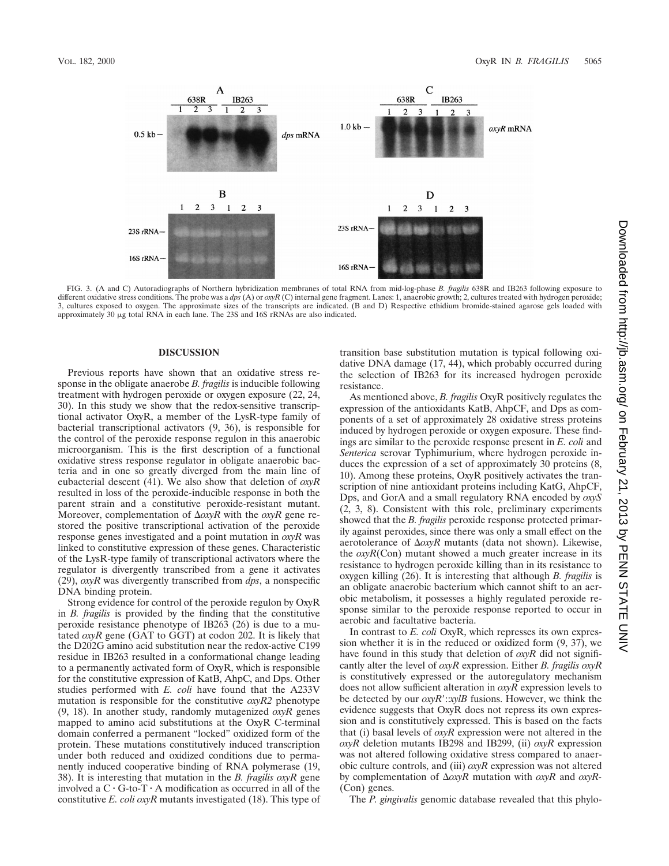

FIG. 3. (A and C) Autoradiographs of Northern hybridization membranes of total RNA from mid-log-phase *B. fragilis* 638R and IB263 following exposure to different oxidative stress conditions. The probe was a *dps* (A) or *oxyR* (C) internal gene fragment. Lanes: 1, anaerobic growth; 2, cultures treated with hydrogen peroxide; 3, cultures exposed to oxygen. The approximate sizes of the transcripts are indicated. (B and D) Respective ethidium bromide-stained agarose gels loaded with approximately 30  $\mu$ g total RNA in each lane. The 23S and 16S rRNAs are also indicated.

#### **DISCUSSION**

Previous reports have shown that an oxidative stress response in the obligate anaerobe *B. fragilis* is inducible following treatment with hydrogen peroxide or oxygen exposure (22, 24, 30). In this study we show that the redox-sensitive transcriptional activator OxyR, a member of the LysR-type family of bacterial transcriptional activators (9, 36), is responsible for the control of the peroxide response regulon in this anaerobic microorganism. This is the first description of a functional oxidative stress response regulator in obligate anaerobic bacteria and in one so greatly diverged from the main line of eubacterial descent (41). We also show that deletion of *oxyR* resulted in loss of the peroxide-inducible response in both the parent strain and a constitutive peroxide-resistant mutant. Moreover, complementation of D*oxyR* with the *oxyR* gene restored the positive transcriptional activation of the peroxide response genes investigated and a point mutation in *oxyR* was linked to constitutive expression of these genes. Characteristic of the LysR-type family of transcriptional activators where the regulator is divergently transcribed from a gene it activates (29), *oxyR* was divergently transcribed from *dps*, a nonspecific DNA binding protein.

Strong evidence for control of the peroxide regulon by OxyR in *B. fragilis* is provided by the finding that the constitutive peroxide resistance phenotype of IB263 (26) is due to a mutated *oxyR* gene (GAT to GGT) at codon 202. It is likely that the D202G amino acid substitution near the redox-active C199 residue in IB263 resulted in a conformational change leading to a permanently activated form of OxyR, which is responsible for the constitutive expression of KatB, AhpC, and Dps. Other studies performed with *E. coli* have found that the A233V mutation is responsible for the constitutive *oxyR2* phenotype (9, 18). In another study, randomly mutagenized *oxyR* genes mapped to amino acid substitutions at the OxyR C-terminal domain conferred a permanent "locked" oxidized form of the protein. These mutations constitutively induced transcription under both reduced and oxidized conditions due to permanently induced cooperative binding of RNA polymerase (19, 38). It is interesting that mutation in the *B. fragilis oxyR* gene involved a  $C \cdot G$ -to-T $\cdot A$  modification as occurred in all of the constitutive *E. coli oxyR* mutants investigated (18). This type of transition base substitution mutation is typical following oxidative DNA damage (17, 44), which probably occurred during the selection of IB263 for its increased hydrogen peroxide resistance.

As mentioned above, *B. fragilis* OxyR positively regulates the expression of the antioxidants KatB, AhpCF, and Dps as components of a set of approximately 28 oxidative stress proteins induced by hydrogen peroxide or oxygen exposure. These findings are similar to the peroxide response present in *E. coli* and *Senterica* serovar Typhimurium, where hydrogen peroxide induces the expression of a set of approximately 30 proteins (8, 10). Among these proteins, OxyR positively activates the transcription of nine antioxidant proteins including KatG, AhpCF, Dps, and GorA and a small regulatory RNA encoded by *oxyS* (2, 3, 8). Consistent with this role, preliminary experiments showed that the *B. fragilis* peroxide response protected primarily against peroxides, since there was only a small effect on the aerotolerance of  $\Delta oxyR$  mutants (data not shown). Likewise, the *oxyR*(Con) mutant showed a much greater increase in its resistance to hydrogen peroxide killing than in its resistance to oxygen killing (26). It is interesting that although *B. fragilis* is an obligate anaerobic bacterium which cannot shift to an aerobic metabolism, it possesses a highly regulated peroxide response similar to the peroxide response reported to occur in aerobic and facultative bacteria.

In contrast to *E. coli* OxyR, which represses its own expression whether it is in the reduced or oxidized form (9, 37), we have found in this study that deletion of *oxyR* did not significantly alter the level of *oxyR* expression. Either *B. fragilis oxyR* is constitutively expressed or the autoregulatory mechanism does not allow sufficient alteration in *oxyR* expression levels to be detected by our *oxyR':xylB* fusions. However, we think the evidence suggests that OxyR does not repress its own expression and is constitutively expressed. This is based on the facts that (i) basal levels of *oxyR* expression were not altered in the *oxyR* deletion mutants IB298 and IB299, (ii) *oxyR* expression was not altered following oxidative stress compared to anaerobic culture controls, and (iii) *oxyR* expression was not altered by complementation of D*oxyR* mutation with *oxyR* and *oxyR-* (Con) genes.

The *P. gingivalis* genomic database revealed that this phylo-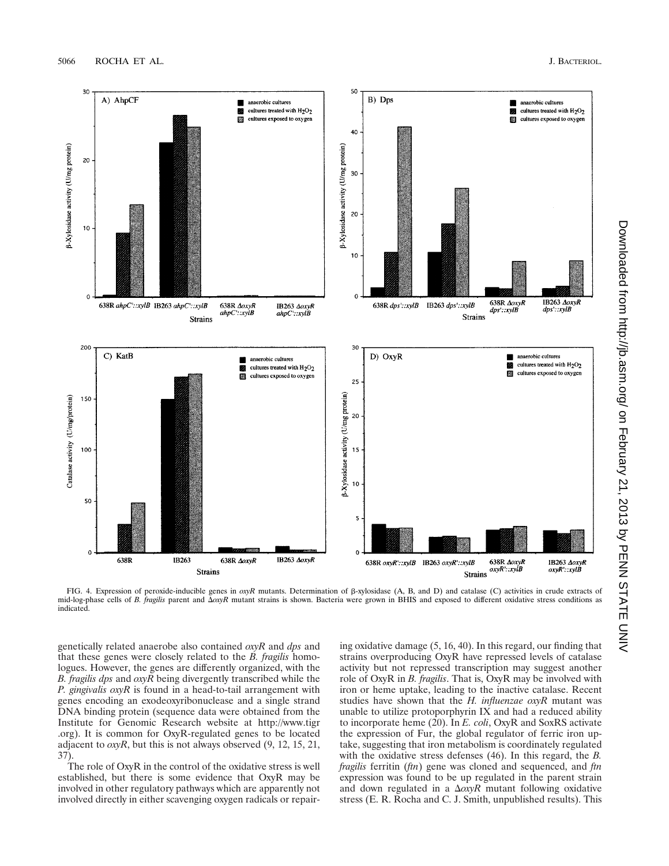

FIG. 4. Expression of peroxide-inducible genes in *oxyR* mutants. Determination of b-xylosidase (A, B, and D) and catalase (C) activities in crude extracts of mid-log-phase cells of *B. fragilis* parent and  $\Delta \alpha yR$  mutant strains is shown. Bacteria were grown in BHIS and exposed to different oxidative stress conditions as indicated.

genetically related anaerobe also contained *oxyR* and *dps* and that these genes were closely related to the *B. fragilis* homologues. However, the genes are differently organized, with the *B. fragilis dps* and *oxyR* being divergently transcribed while the *P. gingivalis oxyR* is found in a head-to-tail arrangement with genes encoding an exodeoxyribonuclease and a single strand DNA binding protein (sequence data were obtained from the Institute for Genomic Research website at http://www.tigr .org). It is common for OxyR-regulated genes to be located adjacent to *oxyR*, but this is not always observed (9, 12, 15, 21, 37).

The role of OxyR in the control of the oxidative stress is well established, but there is some evidence that OxyR may be involved in other regulatory pathways which are apparently not involved directly in either scavenging oxygen radicals or repairing oxidative damage (5, 16, 40). In this regard, our finding that strains overproducing OxyR have repressed levels of catalase activity but not repressed transcription may suggest another role of OxyR in *B. fragilis*. That is, OxyR may be involved with iron or heme uptake, leading to the inactive catalase. Recent studies have shown that the *H. influenzae oxyR* mutant was unable to utilize protoporphyrin IX and had a reduced ability to incorporate heme (20). In *E. coli*, OxyR and SoxRS activate the expression of Fur, the global regulator of ferric iron uptake, suggesting that iron metabolism is coordinately regulated with the oxidative stress defenses (46). In this regard, the *B. fragilis* ferritin (*ftn*) gene was cloned and sequenced, and *ftn* expression was found to be up regulated in the parent strain and down regulated in a  $\Delta$ *oxyR* mutant following oxidative stress (E. R. Rocha and C. J. Smith, unpublished results). This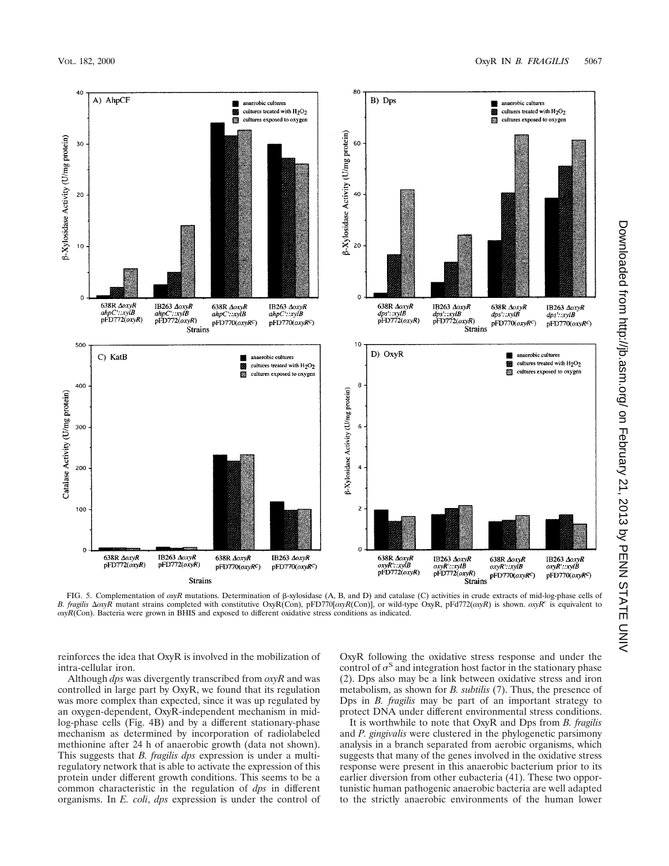

FIG. 5. Complementation of *oxyR* mutations. Determination of b-xylosidase (A, B, and D) and catalase (C) activities in crude extracts of mid-log-phase cells of B. fragilis ΔοxyR mutant strains completed with constitutive OxyR(Con), pFD770[*oxyR*(Con)], or wild-type OxyR, pFd772(*oxyR*) is shown. *oxyR<sup>c</sup>* is equivalent to *oxyR*(Con). Bacteria were grown in BHIS and exposed to different oxidative stress conditions as indicated.

reinforces the idea that OxyR is involved in the mobilization of intra-cellular iron.

Although *dps* was divergently transcribed from *oxyR* and was controlled in large part by OxyR, we found that its regulation was more complex than expected, since it was up regulated by an oxygen-dependent, OxyR-independent mechanism in midlog-phase cells (Fig. 4B) and by a different stationary-phase mechanism as determined by incorporation of radiolabeled methionine after 24 h of anaerobic growth (data not shown). This suggests that *B. fragilis dps* expression is under a multiregulatory network that is able to activate the expression of this protein under different growth conditions. This seems to be a common characteristic in the regulation of *dps* in different organisms. In *E. coli*, *dps* expression is under the control of OxyR following the oxidative stress response and under the control of  $\sigma$ <sup>S</sup> and integration host factor in the stationary phase (2). Dps also may be a link between oxidative stress and iron metabolism, as shown for *B. subtilis* (7). Thus, the presence of Dps in *B. fragilis* may be part of an important strategy to protect DNA under different environmental stress conditions.

It is worthwhile to note that OxyR and Dps from *B. fragilis* and *P. gingivalis* were clustered in the phylogenetic parsimony analysis in a branch separated from aerobic organisms, which suggests that many of the genes involved in the oxidative stress response were present in this anaerobic bacterium prior to its earlier diversion from other eubacteria (41). These two opportunistic human pathogenic anaerobic bacteria are well adapted to the strictly anaerobic environments of the human lower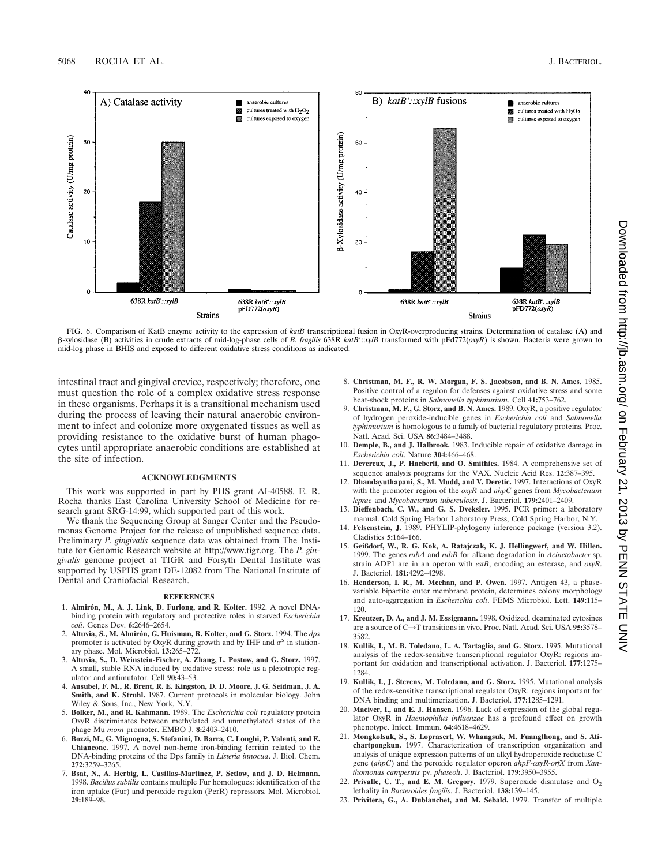

FIG. 6. Comparison of KatB enzyme activity to the expression of *katB* transcriptional fusion in OxyR-overproducing strains. Determination of catalase (A) and b-xylosidase (B) activities in crude extracts of mid-log-phase cells of *B. fragilis* 638R *katB*9::*xylB* transformed with pFd772(*oxyR*) is shown. Bacteria were grown to mid-log phase in BHIS and exposed to different oxidative stress conditions as indicated.

intestinal tract and gingival crevice, respectively; therefore, one must question the role of a complex oxidative stress response in these organisms. Perhaps it is a transitional mechanism used during the process of leaving their natural anaerobic environment to infect and colonize more oxygenated tissues as well as providing resistance to the oxidative burst of human phagocytes until appropriate anaerobic conditions are established at the site of infection.

#### **ACKNOWLEDGMENTS**

This work was supported in part by PHS grant AI-40588. E. R. Rocha thanks East Carolina University School of Medicine for research grant SRG-14:99, which supported part of this work.

We thank the Sequencing Group at Sanger Center and the Pseudomonas Genome Project for the release of unpublished sequence data. Preliminary *P. gingivalis* sequence data was obtained from The Institute for Genomic Research website at http://www.tigr.org. The *P. gingivalis* genome project at TIGR and Forsyth Dental Institute was supported by USPHS grant DE-12082 from The National Institute of Dental and Craniofacial Research.

#### **REFERENCES**

- 1. Almirón, M., A. J. Link, D. Furlong, and R. Kolter. 1992. A novel DNAbinding protein with regulatory and protective roles in starved *Escherichia coli*. Genes Dev. **6:**2646–2654.
- 2. **Altuvia, S., M. Almiro´n, G. Huisman, R. Kolter, and G. Storz.** 1994. The *dps* promoter is activated by OxyR during growth and by IHF and  $\sigma$ <sup>S</sup> in stationary phase. Mol. Microbiol. **13:**265–272.
- 3. **Altuvia, S., D. Weinstein-Fischer, A. Zhang, L. Postow, and G. Storz.** 1997. A small, stable RNA induced by oxidative stress: role as a pleiotropic regulator and antimutator. Cell **90:**43–53.
- 4. **Ausubel, F. M., R. Brent, R. E. Kingston, D. D. Moore, J. G. Seidman, J. A. Smith, and K. Struhl.** 1987. Current protocols in molecular biology. John Wiley & Sons, Inc., New York, N.Y.
- 5. **Bolker, M., and R. Kahmann.** 1989. The *Escherichia coli* regulatory protein OxyR discriminates between methylated and unmethylated states of the phage Mu *mom* promoter. EMBO J. **8:**2403–2410.
- 6. **Bozzi, M., G. Mignogna, S. Stefanini, D. Barra, C. Longhi, P. Valenti, and E. Chiancone.** 1997. A novel non-heme iron-binding ferritin related to the DNA-binding proteins of the Dps family in *Listeria innocua*. J. Biol. Chem. **272:**3259–3265.
- 7. **Bsat, N., A. Herbig, L. Casillas-Martinez, P. Setlow, and J. D. Helmann.** 1998. *Bacillus subtilis* contains multiple Fur homologues: identification of the iron uptake (Fur) and peroxide regulon (PerR) repressors. Mol. Microbiol. **29:**189–98.
- 8. **Christman, M. F., R. W. Morgan, F. S. Jacobson, and B. N. Ames.** 1985. Positive control of a regulon for defenses against oxidative stress and some heat-shock proteins in *Salmonella typhimurium*. Cell **41:**753–762.
- 9. **Christman, M. F., G. Storz, and B. N. Ames.** 1989. OxyR, a positive regulator of hydrogen peroxide-inducible genes in *Escherichia coli* and *Salmonella typhimurium* is homologous to a family of bacterial regulatory proteins. Proc. Natl. Acad. Sci. USA **86:**3484–3488.
- 10. **Demple, B., and J. Halbrook.** 1983. Inducible repair of oxidative damage in *Escherichia coli*. Nature **304:**466–468.
- 11. **Devereux, J., P. Haeberli, and O. Smithies.** 1984. A comprehensive set of sequence analysis programs for the VAX. Nucleic Acid Res. **12:**387–395.
- 12. **Dhandayuthapani, S., M. Mudd, and V. Deretic.** 1997. Interactions of OxyR with the promoter region of the *oxyR* and *ahpC* genes from *Mycobacterium leprae* and *Mycobacterium tuberculosis*. J. Bacteriol. **179:**2401–2409.
- 13. **Dieffenbach, C. W., and G. S. Dveksler.** 1995. PCR primer: a laboratory manual. Cold Spring Harbor Laboratory Press, Cold Spring Harbor, N.Y.
- 14. **Felsenstein, J.** 1989. PHYLIP-phylogeny inference package (version 3.2). Cladistics **5:**164–166.
- 15. **Geißdorf, W., R. G. Kok, A. Ratajczak, K. J. Hellingwerf, and W. Hillen.** 1999. The genes *rubA* and *rubB* for alkane degradation in *Acinetobacter* sp. strain ADP1 are in an operon with *estB*, encoding an esterase, and *oxyR*. J. Bacteriol. **181:**4292–4298.
- 16. **Henderson, I. R., M. Meehan, and P. Owen.** 1997. Antigen 43, a phasevariable bipartite outer membrane protein, determines colony morphology and auto-aggregation in *Escherichia coli*. FEMS Microbiol. Lett. **149:**115– 120.
- 17. **Kreutzer, D. A., and J. M. Essigmann.** 1998. Oxidized, deaminated cytosines are a source of C→T transitions in vivo. Proc. Natl. Acad. Sci. USA 95:3578– 3582.
- 18. **Kullik, I., M. B. Toledano, L. A. Tartaglia, and G. Storz.** 1995. Mutational analysis of the redox-sensitive transcriptional regulator OxyR: regions important for oxidation and transcriptional activation. J. Bacteriol. **177:**1275– 1284.
- 19. **Kullik, I., J. Stevens, M. Toledano, and G. Storz.** 1995. Mutational analysis of the redox-sensitive transcriptional regulator OxyR: regions important for DNA binding and multimerization. J. Bacteriol. **177:**1285–1291.
- 20. **Maciver, I., and E. J. Hansen.** 1996. Lack of expression of the global regulator OxyR in *Haemophilus influenzae* has a profound effect on growth phenotype. Infect. Immun. **64:**4618–4629.
- 21. **Mongkolsuk, S., S. Loprasert, W. Whangsuk, M. Fuangthong, and S. Atichartpongkun.** 1997. Characterization of transcription organization and analysis of unique expression patterns of an alkyl hydroperoxide reductase C gene (*ahpC*) and the peroxide regulator operon *ahpF-oxyR-orfX* from *Xanthomonas campestris* pv. *phaseoli*. J. Bacteriol. **179:**3950–3955.
- 22. **Privalle, C. T., and E. M. Gregory.** 1979. Superoxide dismutase and  $O_2$ lethality in *Bacteroides fragilis*. J. Bacteriol. **138:**139–145.
- 23. **Privitera, G., A. Dublanchet, and M. Sebald.** 1979. Transfer of multiple